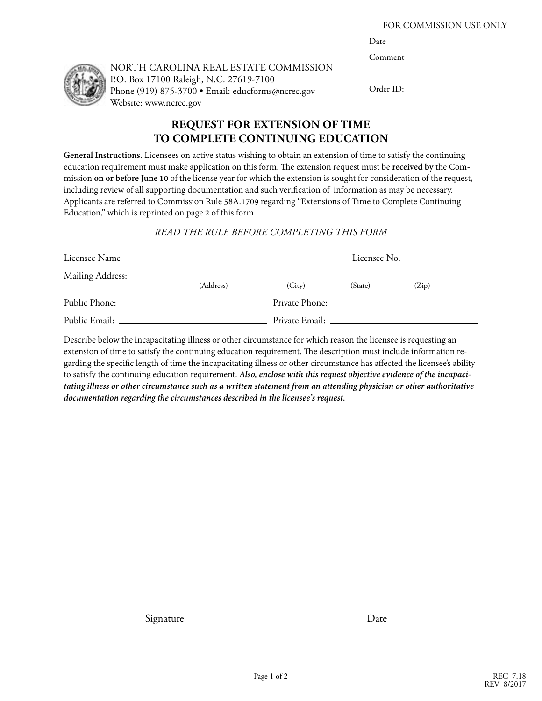| FOR COMMISSION USE ONLY |  |
|-------------------------|--|
|-------------------------|--|

| <b>IISSION</b>            | Comment |
|---------------------------|---------|
| $\cdot$ $\sigma$ $\alpha$ |         |



NORTH CAROLINA REAL ESTATE COMM P.O. Box 17100 Raleigh, N.C. 27619-7100 Phone (919) 875-3700 • Email: educforms@ncrec.gov Website: www.ncrec.gov

## **REQUEST FOR EXTENSION OF TIME TO COMPLETE CONTINUING EDUCATION**

**General Instructions.** Licensees on active status wishing to obtain an extension of time to satisfy the continuing education requirement must make application on this form. The extension request must be **received by** the Commission **on or before June 10** of the license year for which the extension is sought for consideration of the request, including review of all supporting documentation and such verification of information as may be necessary. Applicants are referred to Commission Rule 58A.1709 regarding "Extensions of Time to Complete Continuing Education," which is reprinted on page 2 of this form

## *READ THE RULE BEFORE COMPLETING THIS FORM*

|                                                                                                                                                                                                                                                       |           |                                                                                                                                                                                                                                |         | Licensee No. |
|-------------------------------------------------------------------------------------------------------------------------------------------------------------------------------------------------------------------------------------------------------|-----------|--------------------------------------------------------------------------------------------------------------------------------------------------------------------------------------------------------------------------------|---------|--------------|
|                                                                                                                                                                                                                                                       |           |                                                                                                                                                                                                                                |         |              |
|                                                                                                                                                                                                                                                       | (Address) | (City)                                                                                                                                                                                                                         | (State) | (Zip)        |
| Public Phone:<br><u>and the state of the state of the state of the state of the state of the state of the state of the state of the state of the state of the state of the state of the state of the state of the state of the state of the state</u> |           |                                                                                                                                                                                                                                |         |              |
| Public Email: The Contract of the Contract of the Contract of the Contract of the Contract of the Contract of the Contract of the Contract of the Contract of the Contract of the Contract of the Contract of the Contract of                         |           | Private Email: The Contract of the Contract of the Contract of the Contract of the Contract of the Contract of the Contract of the Contract of the Contract of the Contract of the Contract of the Contract of the Contract of |         |              |

Describe below the incapacitating illness or other circumstance for which reason the licensee is requesting an extension of time to satisfy the continuing education requirement. The description must include information regarding the specific length of time the incapacitating illness or other circumstance has affected the licensee's ability to satisfy the continuing education requirement. *Also, enclose with this request objective evidence of the incapacitating illness or other circumstance such as a written statement from an attending physician or other authoritative documentation regarding the circumstances described in the licensee's request.*

Signature Date